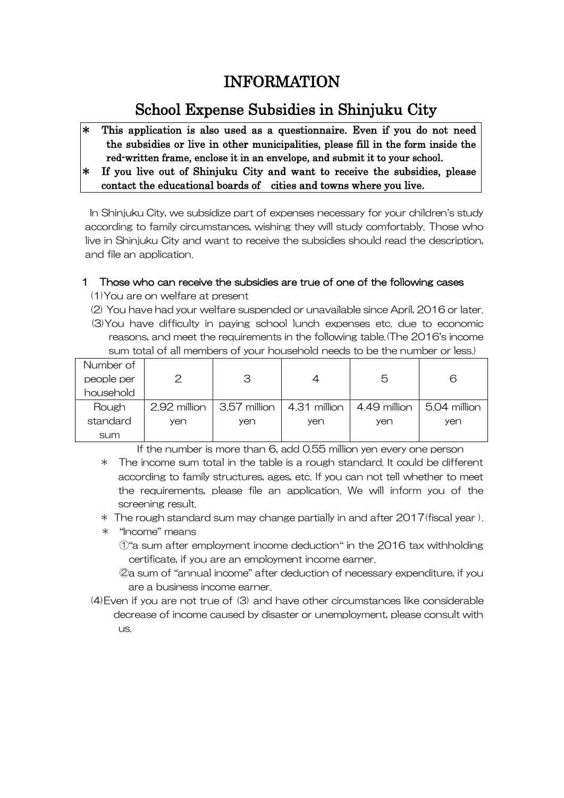# INFORMATION

# School Expense Subsidies in Shinjuku City

- \* This application is also used as a questionnaire. Even if you do not need the subsidies or live in other municipalities, please fill in the form inside the red-written frame, enclose it in an envelope, and submit it to your school.
- \* If you live out of Shinjuku City and want to receive the subsidies, please contact the educational boards of cities and towns where you live.

In Shinjuku City, we subsidize part of expenses necessary for your children's study according to family circumstances, wishing they will study comfortably. Those who live in Shinjuku City and want to receive the subsidies should read the description, and file an application.

# 1 Those who can receive the subsidies are true of one of the following cases

- (1)You are on welfare at present
- (2) You have had your welfare suspended or unavailable since April, 2016 or later.
- (3)You have difficulty in paying school lunch expenses etc. due to economic reasons, and meet the requirements in the following table.(The 2016's income sum total of all members of your household needs to be the number or less.)

| Number of  |              |                                           |     |              |                     |
|------------|--------------|-------------------------------------------|-----|--------------|---------------------|
| people per |              | З                                         |     | 5            | 6                   |
| household  |              |                                           |     |              |                     |
| Rough      | 2.92 million | $\vert$ 3.57 million $\vert$ 4.31 million |     | 4,49 million | $\mid$ 5.04 million |
| standard   | yen          | yen                                       | yen | yen          | yen                 |
| sum        |              |                                           |     |              |                     |

If the number is more than 6, add 0.55 million yen every one person

- \* The income sum total in the table is a rough standard. It could be different according to family structures, ages, etc. If you can not tell whether to meet the requirements, please file an application. We will inform you of the screening result.
- $*$  The rough standard sum may change partially in and after 2017(fiscal year).
- \* "Income" means
	- $\hat{O}$  a sum after employment income deduction" in the 2016 tax withholding certificate, if you are an employment income earner.
	- ②a sum of "annual income" after deduction of necessary expenditure, if you are a business income earner.
- (4)Even if you are not true of (3) and have other circumstances like considerable decrease of income caused by disaster or unemployment, please consult with us.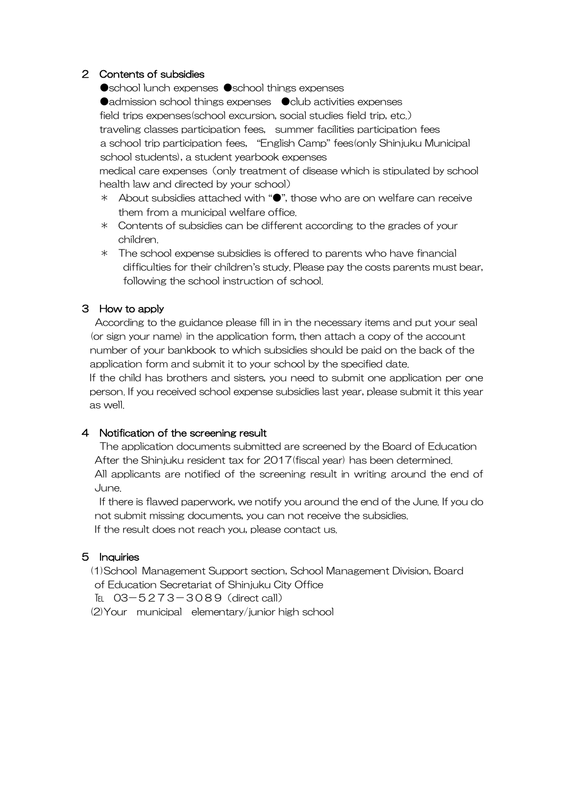# 2 Contents of subsidies

●school lunch expenses ●school things expenses ●admission school things expenses ● club activities expenses field trips expenses(school excursion, social studies field trip, etc.) traveling classes participation fees, summer facilities participation fees a school trip participation fees, "English Camp" fees(only Shinjuku Municipal school students), a student yearbook expenses

 medical care expenses(only treatment of disease which is stipulated by school health law and directed by your school)

- \* About subsidies attached with "●", those who are on welfare can receive them from a municipal welfare office.
- \* Contents of subsidies can be different according to the grades of your children.
- \* The school expense subsidies is offered to parents who have financial difficulties for their children's study. Please pay the costs parents must bear, following the school instruction of school.

# 3 How to apply

 According to the guidance please fill in in the necessary items and put your seal (or sign your name) in the application form, then attach a copy of the account number of your bankbook to which subsidies should be paid on the back of the application form and submit it to your school by the specified date.

If the child has brothers and sisters, you need to submit one application per one person. If you received school expense subsidies last year, please submit it this year as well.

#### 4 Notification of the screening result

 The application documents submitted are screened by the Board of Education After the Shinjuku resident tax for 2017(fiscal year) has been determined. All applicants are notified of the screening result in writing around the end of June.

 If there is flawed paperwork, we notify you around the end of the June. If you do not submit missing documents, you can not receive the subsidies. If the result does not reach you, please contact us.

# 5 Inquiries

(1)School Management Support section, School Management Division, Board of Education Secretariat of Shinjuku City Office

TEL 03-5273-3089 (direct call)

(2)Your municipal elementary/junior high school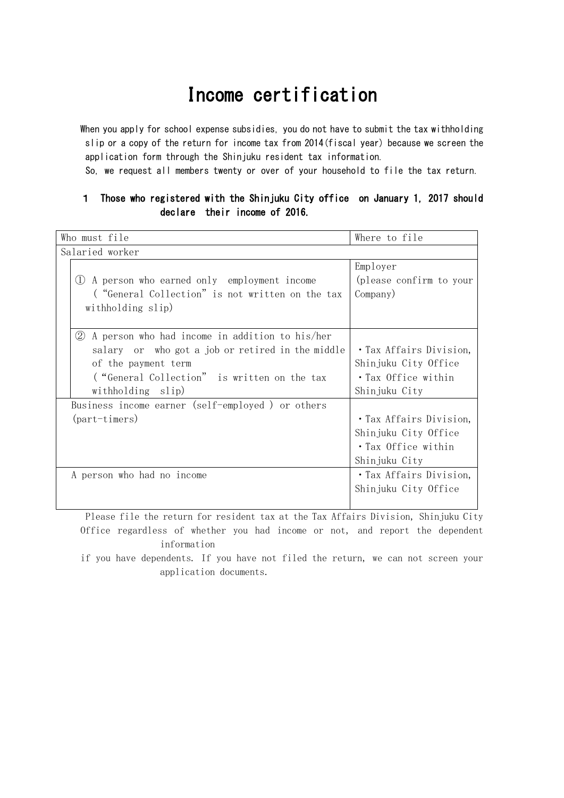# Income certification

When you apply for school expense subsidies, you do not have to submit the tax withholding slip or a copy of the return for income tax from 2014(fiscal year) because we screen the application form through the Shinjuku resident tax information.

So, we request all members twenty or over of your household to file the tax return.

### 1 Those who registered with the Shinjuku City office on January 1, 2017 should declare their income of 2016.

| Who must file                                    | Where to file           |  |  |  |  |
|--------------------------------------------------|-------------------------|--|--|--|--|
| Salaried worker                                  |                         |  |  |  |  |
|                                                  | Employer                |  |  |  |  |
| (1) A person who earned only employment income   | (please confirm to your |  |  |  |  |
| ("General Collection" is not written on the tax  | Company)                |  |  |  |  |
| withholding slip)                                |                         |  |  |  |  |
|                                                  |                         |  |  |  |  |
| 2 A person who had income in addition to his/her |                         |  |  |  |  |
| salary or who got a job or retired in the middle | • Tax Affairs Division, |  |  |  |  |
| of the payment term                              | Shinjuku City Office    |  |  |  |  |
| ("General Collection" is written on the tax      | • Tax Office within     |  |  |  |  |
| withholding slip)                                | Shinjuku City           |  |  |  |  |
| Business income earner (self-employed) or others |                         |  |  |  |  |
| (part-timers)                                    | • Tax Affairs Division, |  |  |  |  |
|                                                  | Shinjuku City Office    |  |  |  |  |
|                                                  | · Tax Office within     |  |  |  |  |
|                                                  | Shinjuku City           |  |  |  |  |
| A person who had no income                       | · Tax Affairs Division, |  |  |  |  |
|                                                  | Shinjuku City Office    |  |  |  |  |
|                                                  |                         |  |  |  |  |

Please file the return for resident tax at the Tax Affairs Division, Shinjuku City Office regardless of whether you had income or not, and report the dependent information

if you have dependents. If you have not filed the return, we can not screen your application documents.